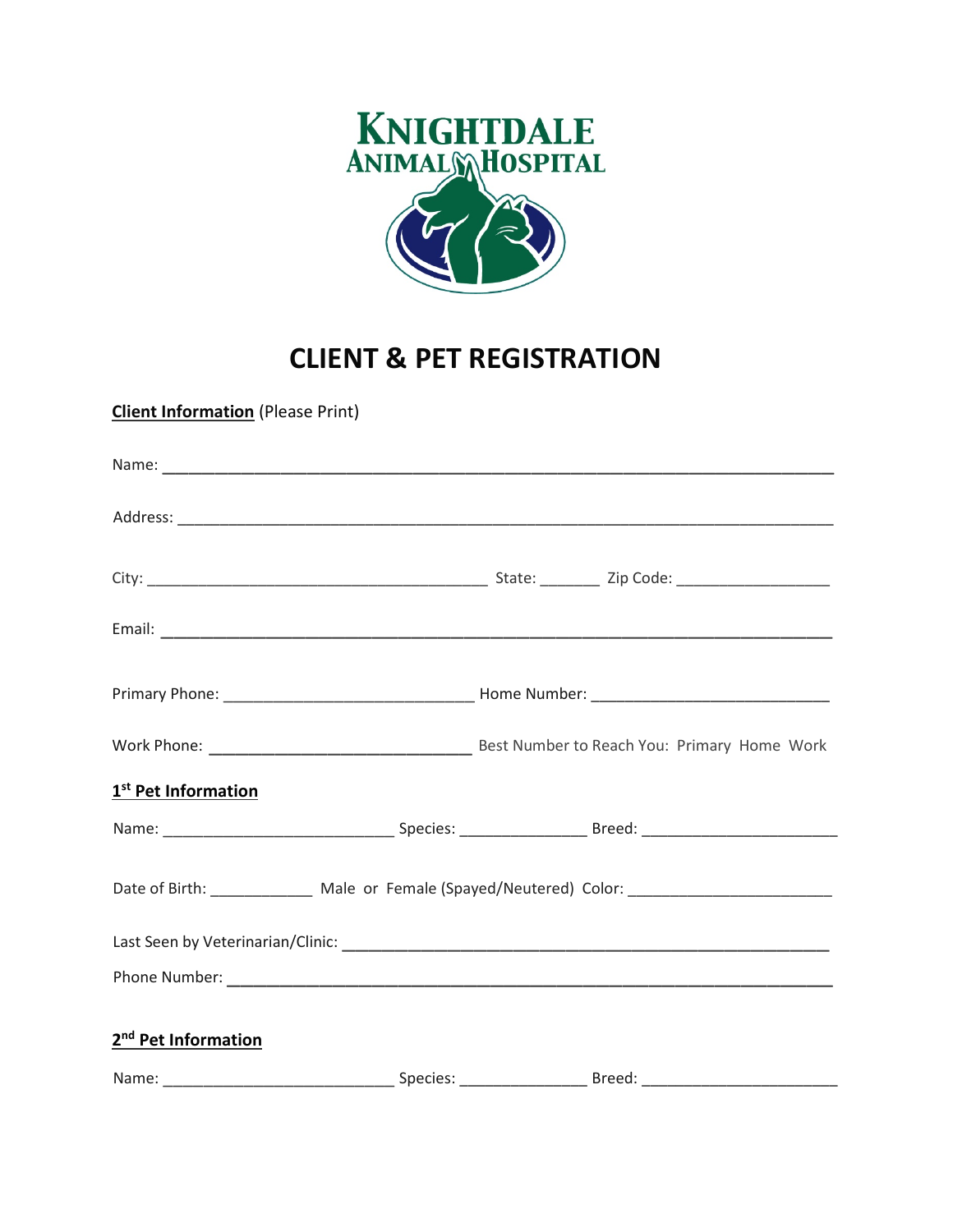

## **CLIENT & PET REGISTRATION**

**Client Information** (Please Print)

| 1 <sup>st</sup> Pet Information                                                                     |  |  |  |  |
|-----------------------------------------------------------------------------------------------------|--|--|--|--|
|                                                                                                     |  |  |  |  |
| Date of Birth: ________________ Male or Female (Spayed/Neutered) Color: ___________________________ |  |  |  |  |
|                                                                                                     |  |  |  |  |
|                                                                                                     |  |  |  |  |
| 2 <sup>nd</sup> Pet Information                                                                     |  |  |  |  |
|                                                                                                     |  |  |  |  |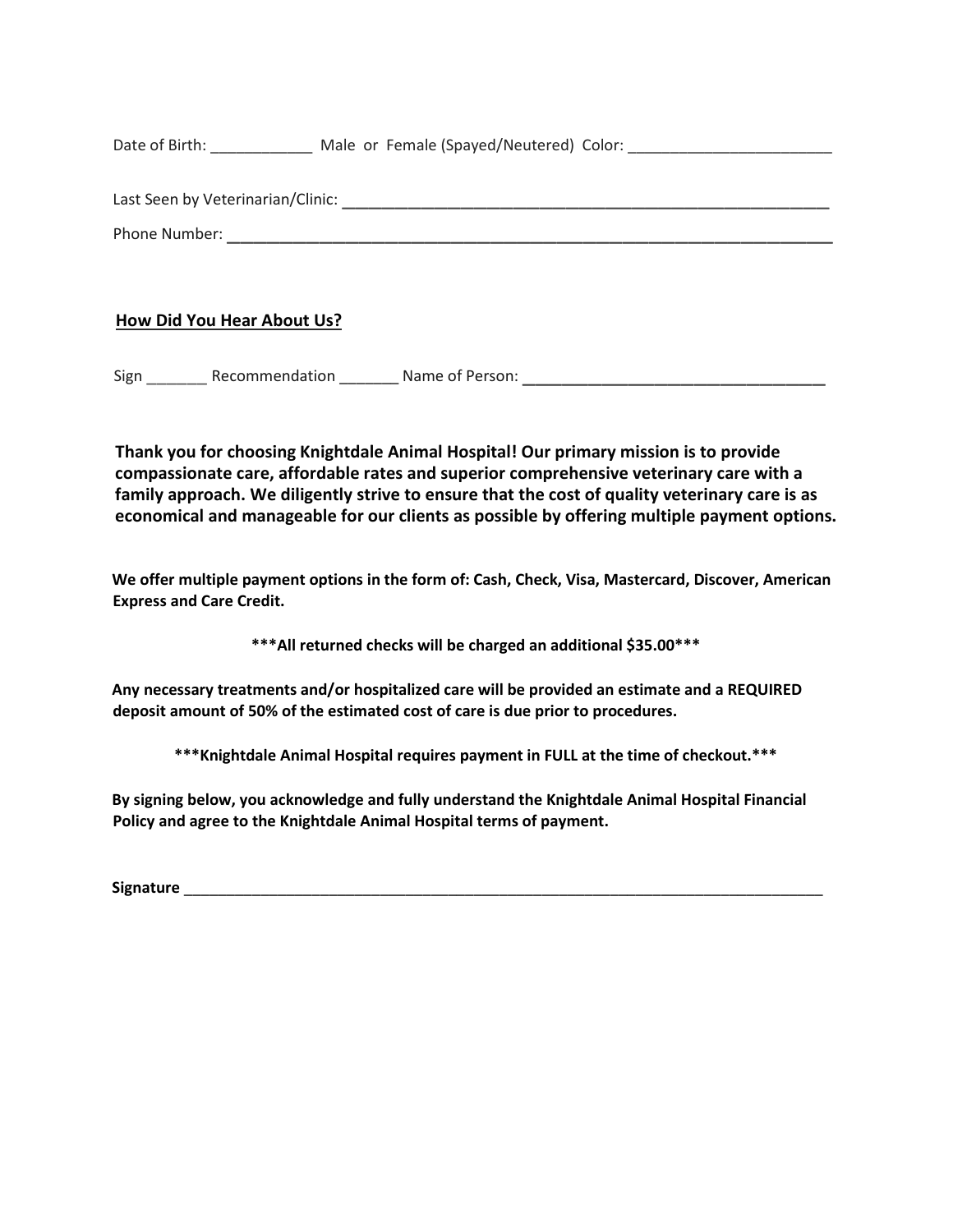Date of Birth: Male or Female (Spayed/Neutered) Color:

Phone Number: \_\_\_\_\_\_\_\_\_\_\_\_\_\_\_\_\_\_\_\_\_\_\_\_\_\_\_\_\_\_\_\_\_\_\_\_\_\_\_\_\_\_\_\_\_\_

Last Seen by Veterinarian/Clinic: \_\_\_\_\_\_\_\_\_\_\_\_\_\_\_\_\_\_\_\_\_\_\_\_\_\_\_\_\_\_\_\_\_\_\_\_\_

**How Did You Hear About Us?**

Sign \_\_\_\_\_\_ Recommendation \_\_\_\_\_\_\_ Name of Person: \_\_\_\_\_\_\_\_\_\_\_\_\_\_\_\_\_\_\_\_\_\_\_

**Thank you for choosing Knightdale Animal Hospital! Our primary mission is to provide compassionate care, affordable rates and superior comprehensive veterinary care with a family approach. We diligently strive to ensure that the cost of quality veterinary care is as economical and manageable for our clients as possible by offering multiple payment options.** 

**We offer multiple payment options in the form of: Cash, Check, Visa, Mastercard, Discover, American Express and Care Credit.**

**\*\*\*All returned checks will be charged an additional \$35.00\*\*\***

**Any necessary treatments and/or hospitalized care will be provided an estimate and a REQUIRED deposit amount of 50% of the estimated cost of care is due prior to procedures.**

**\*\*\*Knightdale Animal Hospital requires payment in FULL at the time of checkout.\*\*\***

**By signing below, you acknowledge and fully understand the Knightdale Animal Hospital Financial Policy and agree to the Knightdale Animal Hospital terms of payment.**

**Signature** \_\_\_\_\_\_\_\_\_\_\_\_\_\_\_\_\_\_\_\_\_\_\_\_\_\_\_\_\_\_\_\_\_\_\_\_\_\_\_\_\_\_\_\_\_\_\_\_\_\_\_\_\_\_\_\_\_\_\_\_\_\_\_\_\_\_\_\_\_\_\_\_\_\_\_